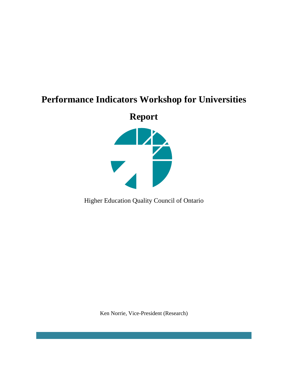# **Performance Indicators Workshop for Universities**

**Report** 



Higher Education Quality Council of Ontario

Ken Norrie, Vice-President (Research)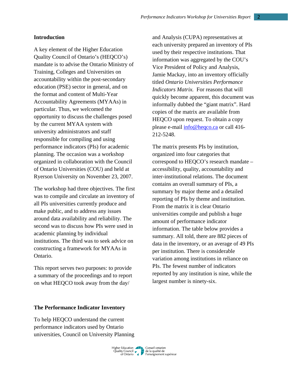# **Introduction**

A key element of the Higher Education Quality Council of Ontario's (HEQCO's) mandate is to advise the Ontario Ministry of Training, Colleges and Universities on accountability within the post-secondary education (PSE) sector in general, and on the format and content of Multi-Year Accountability Agreements (MYAAs) in particular. Thus, we welcomed the opportunity to discuss the challenges posed by the current MYAA system with university administrators and staff responsible for compiling and using performance indicators (PIs) for academic planning. The occasion was a workshop organized in collaboration with the Council of Ontario Universities (COU) and held at Ryerson University on November 23, 2007.

The workshop had three objectives. The first was to compile and circulate an inventory of all PIs universities currently produce and make public, and to address any issues around data availability and reliability. The second was to discuss how PIs were used in academic planning by individual institutions. The third was to seek advice on constructing a framework for MYAAs in Ontario.

This report serves two purposes: to provide a summary of the proceedings and to report on what HEQCO took away from the day/

and Analysis (CUPA) representatives at each university prepared an inventory of PIs used by their respective institutions. That information was aggregated by the COU's Vice President of Policy and Analysis, Jamie Mackay, into an inventory officially titled *Ontario Universities Performance Indicators Matrix.* For reasons that will quickly become apparent, this document was informally dubbed the "giant matrix". Hard copies of the matrix are available from HEQCO upon request. To obtain a copy please e-mail info@heqco.ca or call 416- 212-5248.

The matrix presents PIs by institution, organized into four categories that correspond to HEQCO's research mandate – accessibility, quality, accountability and inter-institutional relations. The document contains an overall summary of PIs, a summary by major theme and a detailed reporting of PIs by theme and institution. From the matrix it is clear Ontario universities compile and publish a huge amount of performance indicator information. The table below provides a summary. All told, there are 882 pieces of data in the inventory, or an average of 49 PIs per institution. There is considerable variation among institutions in reliance on PIs. The fewest number of indicators reported by any institution is nine, while the largest number is ninety-six.

#### **The Performance Indicator Inventory**

To help HEQCO understand the current performance indicators used by Ontario universities, Council on University Planning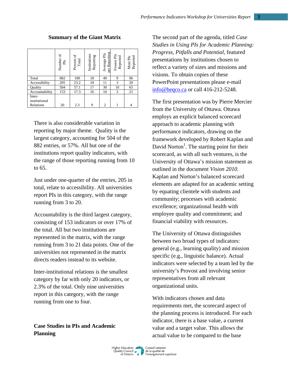|                         | Number of<br>$_{\rm Pl}$ | Percent of<br>Total | Institutions<br>Reporting | Reporting<br>Average PIs<br>ber: | Fewest PIs<br>Reported | Reported<br>Most PIs |
|-------------------------|--------------------------|---------------------|---------------------------|----------------------------------|------------------------|----------------------|
| Total                   | 882                      | 100                 | 18                        | 49                               | 9                      | 96                   |
| Accessibility           | 205                      | 23.2                | 18                        | 11                               | 3                      | 20                   |
| Ouality                 | 504                      | 57.1                | 17                        | 30                               | 10                     | 65                   |
| Accountability          | 153                      | 17.3                | 16                        | 10                               | 3                      | 21                   |
| Inter-<br>institutional |                          |                     |                           |                                  |                        |                      |
| Relations               | 20                       | 2.3                 | 9                         | $\mathfrak{2}$                   |                        | 4                    |

# **Summary of the Giant Matrix**

There is also considerable variation in reporting by major theme. Quality is the largest category, accounting for 504 of the 882 entries, or 57%. All but one of the institutions report quality indicators, with the range of those reporting running from 10 to 65.

Just under one-quarter of the entries, 205 in total, relate to accessibility. All universities report PIs in this category, with the range running from 3 to 20.

Accountability is the third largest category, consisting of 153 indicators or over 17% of the total. All but two institutions are represented in the matrix, with the range running from 3 to 21 data points. One of the universities not represented in the matrix directs readers instead to its website.

Inter-institutional relations is the smallest category by far with only 20 indicators, or 2.3% of the total. Only nine universities report in this category, with the range running from one to four.

**Case Studies in PIs and Academic Planning** 

The second part of the agenda, titled *Case Studies in Using PIs for Academic Planning: Progress, Pitfalls and Potential*, featured presentations by institutions chosen to reflect a variety of sizes and missions and visions. To obtain copies of these PowerPoint presentations please e-mail info@heqco.ca or call 416-212-5248.

The first presentation was by Pierre Mercier from the University of Ottawa. Ottawa employs an explicit balanced scorecard approach to academic planning with performance indicators, drawing on the framework developed by Robert Kaplan and David Norton<sup>1</sup>. The starting point for their scorecard, as with all such ventures, is the University of Ottawa's mission statement as outlined in the document *Vision 2010*. Kaplan and Norton's balanced scorecard elements are adapted for an academic setting by equating clientele with students and community; processes with academic excellence; organizational health with employee quality and commitment; and financial viability with resources.

The University of Ottawa distinguishes between two broad types of indicators: general (e.g., learning quality) and mission specific (e.g., linguistic balance). Actual indicators were selected by a team led by the university's Provost and involving senior representatives from all relevant organizational units.

With indicators chosen and data requirements met, the scorecard aspect of the planning process is introduced. For each indicator, there is a base value, a current value and a target value. This allows the actual value to be compared to the base

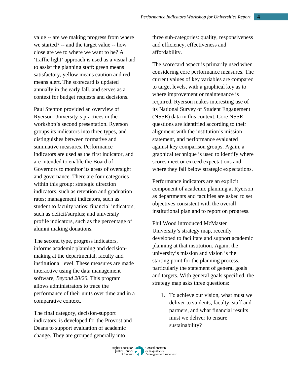value -- are we making progress from where we started? -- and the target value -- how close are we to where we want to be? A 'traffic light' approach is used as a visual aid to assist the planning staff: green means satisfactory, yellow means caution and red means alert. The scorecard is updated annually in the early fall, and serves as a context for budget requests and decisions.

Paul Stenton provided an overview of Ryerson University's practices in the workshop's second presentation. Ryerson groups its indicators into three types, and distinguishes between formative and summative measures. Performance indicators are used as the first indicator, and are intended to enable the Board of Governors to monitor its areas of oversight and governance. There are four categories within this group: strategic direction indicators, such as retention and graduation rates; management indicators, such as student to faculty ratios; financial indicators, such as deficit/surplus; and university profile indicators, such as the percentage of alumni making donations.

The second type, progress indicators, informs academic planning and decisionmaking at the departmental, faculty and institutional level. These measures are made interactive using the data management software, *Beyond 20/20.* This program allows administrators to trace the performance of their units over time and in a comparative context.

The final category, decision-support indicators, is developed for the Provost and Deans to support evaluation of academic change. They are grouped generally into

three sub-categories: quality, responsiveness and efficiency, effectiveness and affordability.

The scorecard aspect is primarily used when considering core performance measures. The current values of key variables are compared to target levels, with a graphical key as to where improvement or maintenance is required. Ryerson makes interesting use of its National Survey of Student Engagement (NSSE) data in this context. Core NSSE questions are identified according to their alignment with the institution's mission statement, and performance evaluated against key comparison groups. Again, a graphical technique is used to identify where scores meet or exceed expectations and where they fall below strategic expectations.

Performance indicators are an explicit component of academic planning at Ryerson as departments and faculties are asked to set objectives consistent with the overall institutional plan and to report on progress.

Phil Wood introduced McMaster University's strategy map, recently developed to facilitate and support academic planning at that institution. Again, the university's mission and vision is the starting point for the planning process, particularly the statement of general goals and targets. With general goals specified, the strategy map asks three questions:

1. To achieve our vision, what must we deliver to students, faculty, staff and partners, and what financial results must we deliver to ensure sustainability?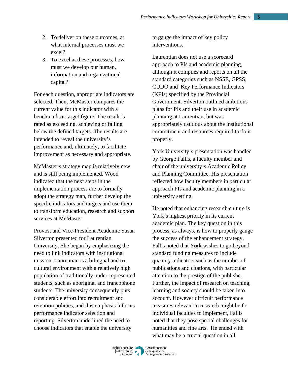- 2. To deliver on these outcomes, at what internal processes must we excel?
- 3. To excel at these processes, how must we develop our human, information and organizational capital?

For each question, appropriate indicators are selected. Then, McMaster compares the current value for this indicator with a benchmark or target figure. The result is rated as exceeding, achieving or falling below the defined targets. The results are intended to reveal the university's performance and, ultimately, to facilitate improvement as necessary and appropriate.

McMaster's strategy map is relatively new and is still being implemented. Wood indicated that the next steps in the implementation process are to formally adopt the strategy map, further develop the specific indicators and targets and use them to transform education, research and support services at McMaster.

Provost and Vice-President Academic Susan Silverton presented for Laurentian University. She began by emphasizing the need to link indicators with institutional mission. Laurentian is a bilingual and tricultural environment with a relatively high population of traditionally under-represented students, such as aboriginal and francophone students. The university consequently puts considerable effort into recruitment and retention policies, and this emphasis informs performance indicator selection and reporting. Silverton underlined the need to choose indicators that enable the university

to gauge the impact of key policy interventions.

Laurentian does not use a scorecard approach to PIs and academic planning, although it compiles and reports on all the standard categories such as NSSE, GPSS, CUDO and Key Performance Indicators (KPIs) specified by the Provincial Government. Silverton outlined ambitious plans for PIs and their use in academic planning at Laurentian, but was appropriately cautious about the institutional commitment and resources required to do it properly.

York University's presentation was handled by George Fallis, a faculty member and chair of the university's Academic Policy and Planning Committee. His presentation reflected how faculty members in particular approach PIs and academic planning in a university setting.

He noted that enhancing research culture is York's highest priority in its current academic plan. The key question in this process, as always, is how to properly gauge the success of the enhancement strategy. Fallis noted that York wishes to go beyond standard funding measures to include quantity indicators such as the number of publications and citations, with particular attention to the prestige of the publisher. Further, the impact of research on teaching, learning and society should be taken into account. However difficult performance measures relevant to research might be for individual faculties to implement, Fallis noted that they pose special challenges for humanities and fine arts. He ended with what may be a crucial question in all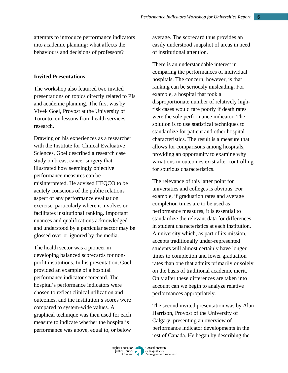attempts to introduce performance indicators into academic planning: what affects the behaviours and decisions of professors?

### **Invited Presentations**

The workshop also featured two invited presentations on topics directly related to PIs and academic planning. The first was by Vivek Goel, Provost at the University of Toronto, on lessons from health services research.

Drawing on his experiences as a researcher with the Institute for Clinical Evaluative Sciences, Goel described a research case study on breast cancer surgery that illustrated how seemingly objective performance measures can be misinterpreted. He advised HEQCO to be acutely conscious of the public relations aspect of any performance evaluation exercise, particularly where it involves or facilitates institutional ranking. Important nuances and qualifications acknowledged and understood by a particular sector may be glossed over or ignored by the media.

The health sector was a pioneer in developing balanced scorecards for nonprofit institutions. In his presentation, Goel provided an example of a hospital performance indicator scorecard. The hospital's performance indicators were chosen to reflect clinical utilization and outcomes, and the institution's scores were compared to system-wide values. A graphical technique was then used for each measure to indicate whether the hospital's performance was above, equal to, or below

average. The scorecard thus provides an easily understood snapshot of areas in need of institutional attention.

There is an understandable interest in comparing the performances of individual hospitals. The concern, however, is that ranking can be seriously misleading. For example, a hospital that took a disproportionate number of relatively highrisk cases would fare poorly if death rates were the sole performance indicator. The solution is to use statistical techniques to standardize for patient and other hospital characteristics. The result is a measure that allows for comparisons among hospitals, providing an opportunity to examine why variations in outcomes exist after controlling for spurious characteristics.

The relevance of this latter point for universities and colleges is obvious. For example, if graduation rates and average completion times are to be used as performance measures, it is essential to standardize the relevant data for differences in student characteristics at each institution. A university which, as part of its mission, accepts traditionally under-represented students will almost certainly have longer times to completion and lower graduation rates than one that admits primarily or solely on the basis of traditional academic merit. Only after these differences are taken into account can we begin to analyze relative performances appropriately.

The second invited presentation was by Alan Harrison, Provost of the University of Calgary, presenting an overview of performance indicator developments in the rest of Canada. He began by describing the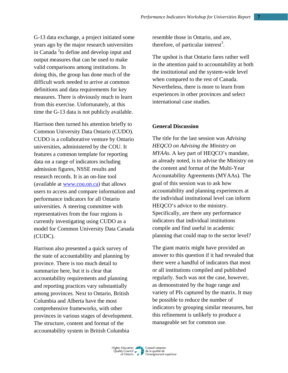G-13 data exchange, a project initiated some years ago by the major research universities in Canada<sup>2</sup> to define and develop input and output measures that can be used to make valid comparisons among institutions. In doing this, the group has done much of the difficult work needed to arrive at common definitions and data requirements for key measures. There is obviously much to learn from this exercise. Unfortunately, at this time the G-13 data is not publicly available.

Harrison then turned his attention briefly to Common University Data Ontario (CUDO). CUDO is a collaborative venture by Ontario universities, administered by the COU. It features a common template for reporting data on a range of indicators including admission figures, NSSE results and research records. It is an on-line tool (available at www.cou.on.ca) that allows users to access and compare information and performance indicators for all Ontario universities. A steering committee with representatives from the four regions is currently investigating using CUDO as a model for Common University Data Canada (CUDC).

Harrison also presented a quick survey of the state of accountability and planning by province. There is too much detail to summarize here, but it is clear that accountability requirements and planning and reporting practices vary substantially among provinces. Next to Ontario, British Columbia and Alberta have the most comprehensive frameworks, with other provinces in various stages of development. The structure, content and format of the accountability system in British Columbia

resemble those in Ontario, and are, therefore, of particular interest<sup>3</sup>.

The upshot is that Ontario fares rather well in the attention paid to accountability at both the institutional and the system-wide level when compared to the rest of Canada. Nevertheless, there is more to learn from experiences in other provinces and select international case studies.

# **General Discussion**

The title for the last session was *Advising HEQCO on Advising the Ministry on MYAAs*. A key part of HEQCO's mandate, as already noted, is to advise the Ministry on the content and format of the Multi-Year Accountability Agreements (MYAAs). The goal of this session was to ask how accountability and planning experiences at the individual institutional level can inform HEQCO's advice to the ministry. Specifically, are there any performance indicators that individual institutions compile and find useful in academic planning that could map to the sector level?

The giant matrix might have provided an answer to this question if it had revealed that there were a handful of indicators that most or all institutions compiled and published regularly. Such was not the case, however, as demonstrated by the huge range and variety of PIs captured by the matrix. It may be possible to reduce the number of indicators by grouping similar measures, but this refinement is unlikely to produce a manageable set for common use.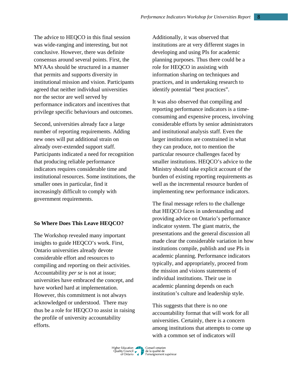The advice to HEQCO in this final session was wide-ranging and interesting, but not conclusive. However, there was definite consensus around several points. First, the MYAAs should be structured in a manner that permits and supports diversity in institutional mission and vision. Participants agreed that neither individual universities nor the sector are well served by performance indicators and incentives that privilege specific behaviours and outcomes.

Second, universities already face a large number of reporting requirements. Adding new ones will put additional strain on already over-extended support staff. Participants indicated a need for recognition that producing reliable performance indicators requires considerable time and institutional resources. Some institutions, the smaller ones in particular, find it increasingly difficult to comply with government requirements.

## **So Where Does This Leave HEQCO?**

The Workshop revealed many important insights to guide HEQCO's work. First, Ontario universities already devote considerable effort and resources to compiling and reporting on their activities. Accountability *per se* is not at issue; universities have embraced the concept, and have worked hard at implementation. However, this commitment is not always acknowledged or understood. There may thus be a role for HEQCO to assist in raising the profile of university accountability efforts.

Additionally, it was observed that institutions are at very different stages in developing and using PIs for academic planning purposes. Thus there could be a role for HEQCO in assisting with information sharing on techniques and practices, and in undertaking research to identify potential "best practices".

It was also observed that compiling and reporting performance indicators is a timeconsuming and expensive process, involving considerable efforts by senior administrators and institutional analysis staff. Even the larger institutions are constrained in what they can produce, not to mention the particular resource challenges faced by smaller institutions. HEQCO's advice to the Ministry should take explicit account of the burden of existing reporting requirements as well as the incremental resource burden of implementing new performance indicators.

The final message refers to the challenge that HEQCO faces in understanding and providing advice on Ontario's performance indicator system. The giant matrix, the presentations and the general discussion all made clear the considerable variation in how institutions compile, publish and use PIs in academic planning. Performance indicators typically, and appropriately, proceed from the mission and visions statements of individual institutions. Their use in academic planning depends on each institution's culture and leadership style.

This suggests that there is no one accountability format that will work for all universities. Certainly, there is a concern among institutions that attempts to come up with a common set of indicators will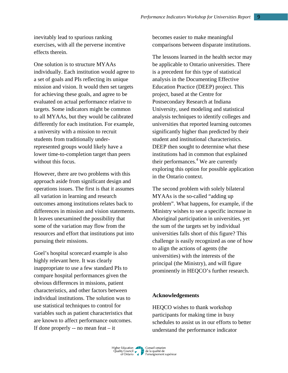inevitably lead to spurious ranking exercises, with all the perverse incentive effects therein.

One solution is to structure MYAAs individually. Each institution would agree to a set of goals and PIs reflecting its unique mission and vision. It would then set targets for achieving these goals, and agree to be evaluated on actual performance relative to targets. Some indicators might be common to all MYAAs, but they would be calibrated differently for each institution. For example, a university with a mission to recruit students from traditionally underrepresented groups would likely have a lower time-to-completion target than peers without this focus.

However, there are two problems with this approach aside from significant design and operations issues. The first is that it assumes all variation in learning and research outcomes among institutions relates back to differences in mission and vision statements. It leaves unexamined the possibility that some of the variation may flow from the resources and effort that institutions put into pursuing their missions.

Goel's hospital scorecard example is also highly relevant here. It was clearly inappropriate to use a few standard PIs to compare hospital performances given the obvious differences in missions, patient characteristics, and other factors between individual institutions. The solution was to use statistical techniques to control for variables such as patient characteristics that are known to affect performance outcomes. If done properly  $-$  no mean feat  $-$  it

becomes easier to make meaningful comparisons between disparate institutions.

The lessons learned in the health sector may be applicable to Ontario universities. There is a precedent for this type of statistical analysis in the Documenting Effective Education Practice (DEEP) project. This project, based at the Centre for Postsecondary Research at Indiana University, used modeling and statistical analysis techniques to identify colleges and universities that reported learning outcomes significantly higher than predicted by their student and institutional characteristics. DEEP then sought to determine what these institutions had in common that explained their performances.<sup>4</sup> We are currently exploring this option for possible application in the Ontario context.

The second problem with solely bilateral MYAAs is the so-called "adding up problem". What happens, for example, if the Ministry wishes to see a specific increase in Aboriginal participation in universities, yet the sum of the targets set by individual universities falls short of this figure? This challenge is easily recognized as one of how to align the actions of agents (the universities) with the interests of the principal (the Ministry), and will figure prominently in HEQCO's further research.

# **Acknowledgements**

HEQCO wishes to thank workshop participants for making time in busy schedules to assist us in our efforts to better understand the performance indicator